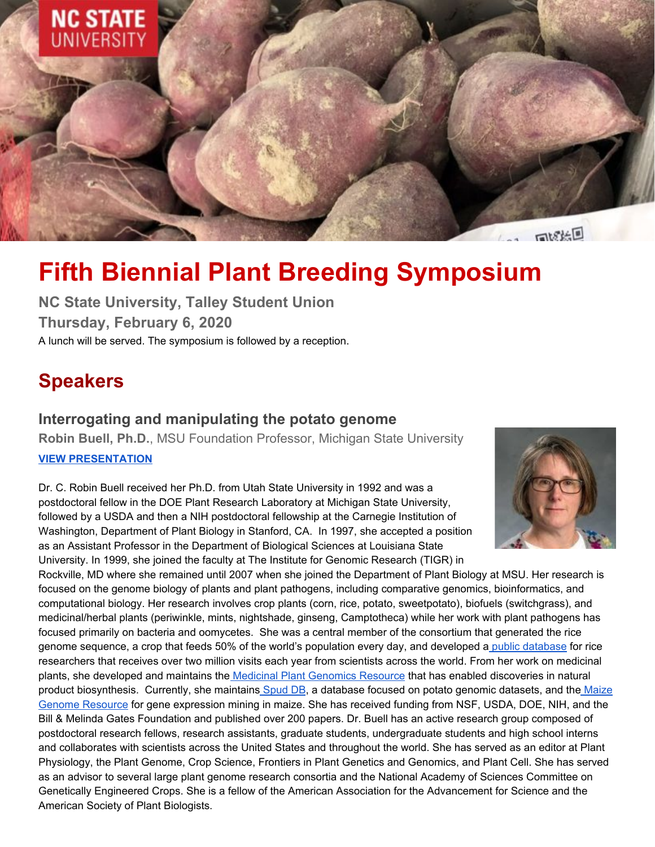

# **Fifth Biennial Plant Breeding Symposium**

**NC State University, Talley Student Union Thursday, February 6, 2020** A lunch will be served. The symposium is followed by a reception.

## **Speakers**

#### **Interrogating and manipulating the potato genome**

**Robin Buell, Ph.D.**, MSU Foundation Professor, Michigan State University

#### **VIEW [PRESENTATION](https://vimeo.com/389960354)**

Dr. C. Robin Buell received her Ph.D. from Utah State University in 1992 and was a postdoctoral fellow in the DOE Plant Research Laboratory at Michigan State University, followed by a USDA and then a NIH postdoctoral fellowship at the Carnegie Institution of Washington, Department of Plant Biology in Stanford, CA. In 1997, she accepted a position as an Assistant Professor in the Department of Biological Sciences at Louisiana State University. In 1999, she joined the faculty at The Institute for Genomic Research (TIGR) in



Rockville, MD where she remained until 2007 when she joined the Department of Plant Biology at MSU. Her research is focused on the genome biology of plants and plant pathogens, including comparative genomics, bioinformatics, and computational biology. Her research involves crop plants (corn, rice, potato, sweetpotato), biofuels (switchgrass), and medicinal/herbal plants (periwinkle, mints, nightshade, ginseng, Camptotheca) while her work with plant pathogens has focused primarily on bacteria and oomycetes. She was a central member of the consortium that generated the rice genome sequence, a crop that feeds 50% of the world's population every day, and developed a public [database](http://rice.plantbiology.msu.edu/) for rice researchers that receives over two million visits each year from scientists across the world. From her work on medicinal plants, she developed and maintains the Medicinal Plant [Genomics](http://medicinalplantgenomics.msu.edu/) Resource that has enabled discoveries in natural product biosynthesis. Currently, she maintains [Spud](http://solanaceae.plantbiology.msu.edu/) DB, a database focused on potato genomic datasets, and the [Maize](http://maize.plantbiology.msu.edu/) Genome [Resource](http://maize.plantbiology.msu.edu/) for gene expression mining in maize. She has received funding from NSF, USDA, DOE, NIH, and the Bill & Melinda Gates Foundation and published over 200 papers. Dr. Buell has an active research group composed of postdoctoral research fellows, research assistants, graduate students, undergraduate students and high school interns and collaborates with scientists across the United States and throughout the world. She has served as an editor at Plant Physiology, the Plant Genome, Crop Science, Frontiers in Plant Genetics and Genomics, and Plant Cell. She has served as an advisor to several large plant genome research consortia and the National Academy of Sciences Committee on Genetically Engineered Crops. She is a fellow of the American Association for the Advancement for Science and the American Society of Plant Biologists.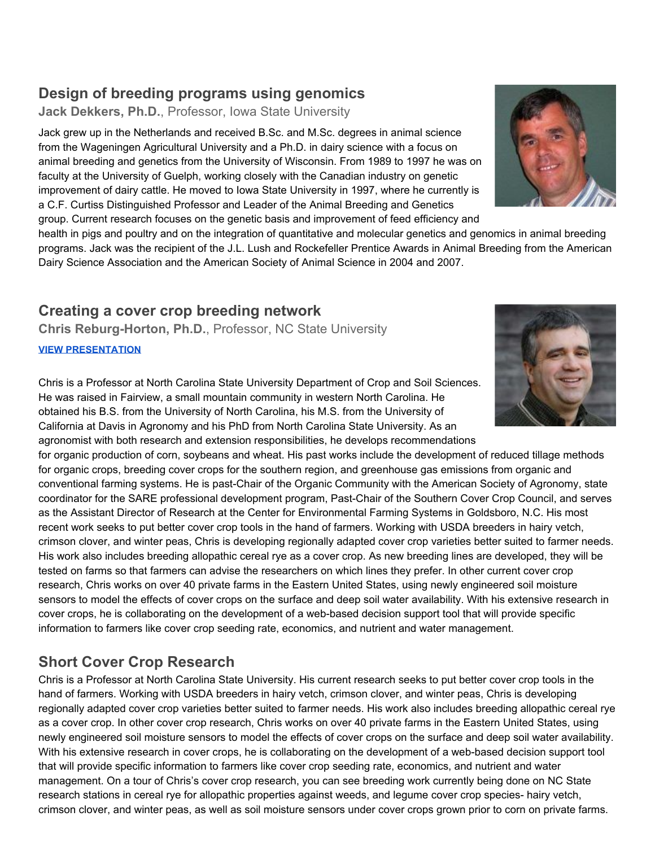#### **Design of breeding programs using genomics**

**Jack Dekkers, Ph.D.**, Professor, Iowa State University

Jack grew up in the Netherlands and received B.Sc. and M.Sc. degrees in animal science from the Wageningen Agricultural University and a Ph.D. in dairy science with a focus on animal breeding and genetics from the University of Wisconsin. From 1989 to 1997 he was on faculty at the University of Guelph, working closely with the Canadian industry on genetic improvement of dairy cattle. He moved to Iowa State University in 1997, where he currently is a C.F. Curtiss Distinguished Professor and Leader of the Animal Breeding and Genetics group. Current research focuses on the genetic basis and improvement of feed efficiency and

health in pigs and poultry and on the integration of quantitative and molecular genetics and genomics in animal breeding programs. Jack was the recipient of the J.L. Lush and Rockefeller Prentice Awards in Animal Breeding from the American Dairy Science Association and the American Society of Animal Science in 2004 and 2007.

#### **Creating a cover crop breeding network**

**Chris Reburg-Horton, Ph.D.**, Professor, NC State University

**[VIEW PRESENTATION](https://vimeo.com/389986356)**

Chris is a Professor at North Carolina State University Department of Crop and Soil Sciences. He was raised in Fairview, a small mountain community in western North Carolina. He obtained his B.S. from the University of North Carolina, his M.S. from the University of California at Davis in Agronomy and his PhD from North Carolina State University. As an agronomist with both research and extension responsibilities, he develops recommendations

for organic production of corn, soybeans and wheat. His past works include the development of reduced tillage methods for organic crops, breeding cover crops for the southern region, and greenhouse gas emissions from organic and conventional farming systems. He is past-Chair of the Organic Community with the American Society of Agronomy, state coordinator for the SARE professional development program, Past-Chair of the Southern Cover Crop Council, and serves as the Assistant Director of Research at the Center for Environmental Farming Systems in Goldsboro, N.C. His most recent work seeks to put better cover crop tools in the hand of farmers. Working with USDA breeders in hairy vetch, crimson clover, and winter peas, Chris is developing regionally adapted cover crop varieties better suited to farmer needs. His work also includes breeding allopathic cereal rye as a cover crop. As new breeding lines are developed, they will be tested on farms so that farmers can advise the researchers on which lines they prefer. In other current cover crop research, Chris works on over 40 private farms in the Eastern United States, using newly engineered soil moisture sensors to model the effects of cover crops on the surface and deep soil water availability. With his extensive research in cover crops, he is collaborating on the development of a web-based decision support tool that will provide specific information to farmers like cover crop seeding rate, economics, and nutrient and water management.

### **Short Cover Crop Research**

Chris is a Professor at North Carolina State University. His current research seeks to put better cover crop tools in the hand of farmers. Working with USDA breeders in hairy vetch, crimson clover, and winter peas, Chris is developing regionally adapted cover crop varieties better suited to farmer needs. His work also includes breeding allopathic cereal rye as a cover crop. In other cover crop research, Chris works on over 40 private farms in the Eastern United States, using newly engineered soil moisture sensors to model the effects of cover crops on the surface and deep soil water availability. With his extensive research in cover crops, he is collaborating on the development of a web-based decision support tool that will provide specific information to farmers like cover crop seeding rate, economics, and nutrient and water management. On a tour of Chris's cover crop research, you can see breeding work currently being done on NC State research stations in cereal rye for allopathic properties against weeds, and legume cover crop species- hairy vetch, crimson clover, and winter peas, as well as soil moisture sensors under cover crops grown prior to corn on private farms.